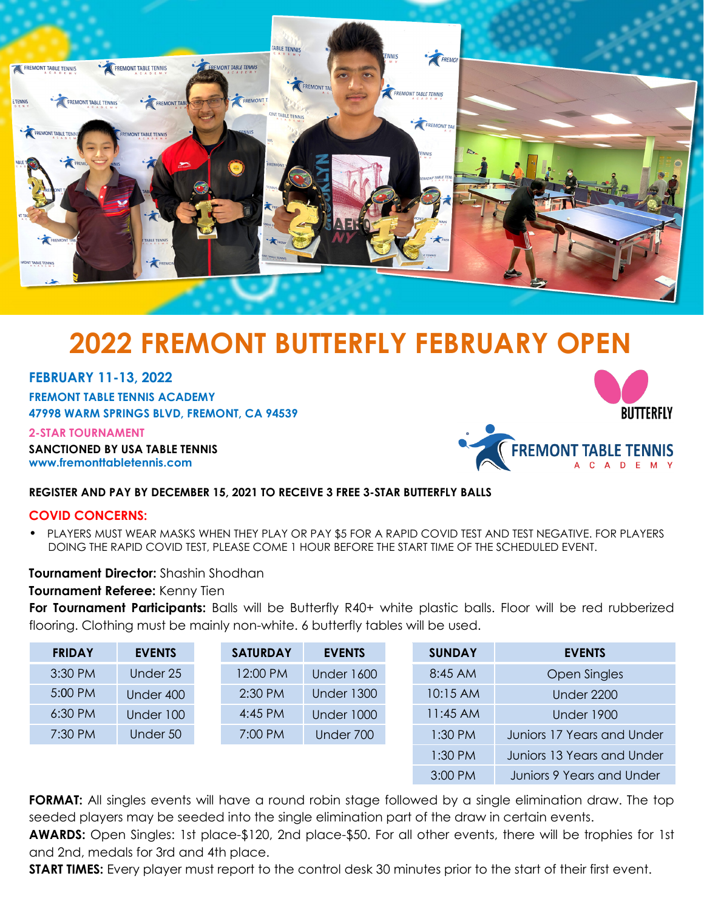

# **2022 FREMONT BUTTERFLY FEBRUARY OPEN**

## **FEBRUARY 11-13, 2022**

**FREMONT TABLE TENNIS ACADEMY 47998 WARM SPRINGS BLVD, FREMONT, CA 94539**

**2-STAR TOURNAMENT**

**NNIS SANCTIONED BY USA TABLE TE www.fremonttabletennis.com**



## **REGISTER AND PAY BY DECEMBER 15, 2021 TO RECEIVE 3 FREE 3-STAR BUTTERFLY BALLS**

#### **COVID CONCERNS:**

• PLAYERS MUST WEAR MASKS WHEN THEY PLAY OR PAY \$5 FOR A RAPID COVID TEST AND TEST NEGATIVE. FOR PLAYERS DOING THE RAPID COVID TEST, PLEASE COME 1 HOUR BEFORE THE START TIME OF THE SCHEDULED EVENT.

## **Tournament Director:** Shashin Shodhan

#### **Tournament Referee:** Kenny Tien

**For Tournament Participants:** Balls will be Butterfly R40+ white plastic balls. Floor will be red rubberized flooring. Clothing must be mainly non-white. 6 butterfly tables will be used.

| <b>FRIDAY</b> | <b>EVENTS</b> | <b>SATURDAY</b> | <b>EVENTS</b>     | <b>SUNDAY</b> | <b>EVENTS</b>              |
|---------------|---------------|-----------------|-------------------|---------------|----------------------------|
| 3:30 PM       | Under 25      | 12:00 PM        | <b>Under 1600</b> | 8:45 AM       | <b>Open Singles</b>        |
| 5:00 PM       | Under 400     | $2:30$ PM       | <b>Under 1300</b> | 10:15 AM      | <b>Under 2200</b>          |
| $6:30$ PM     | Under 100     | $4:45$ PM       | <b>Under 1000</b> | $11:45$ AM    | <b>Under 1900</b>          |
| 7:30 PM       | Under 50      | 7:00 PM         | Under 700         | $1:30$ PM     | Juniors 17 Years and Under |
|               |               |                 |                   | $1:30$ PM     | Juniors 13 Years and Under |
|               |               |                 |                   | 3:00 PM       | Juniors 9 Years and Under  |

**FORMAT:** All singles events will have a round robin stage followed by a single elimination draw. The top seeded players may be seeded into the single elimination part of the draw in certain events.

**AWARDS:** Open Singles: 1st place-\$120, 2nd place-\$50. For all other events, there will be trophies for 1st and 2nd, medals for 3rd and 4th place.

**START TIMES:** Every player must report to the control desk 30 minutes prior to the start of their first event.